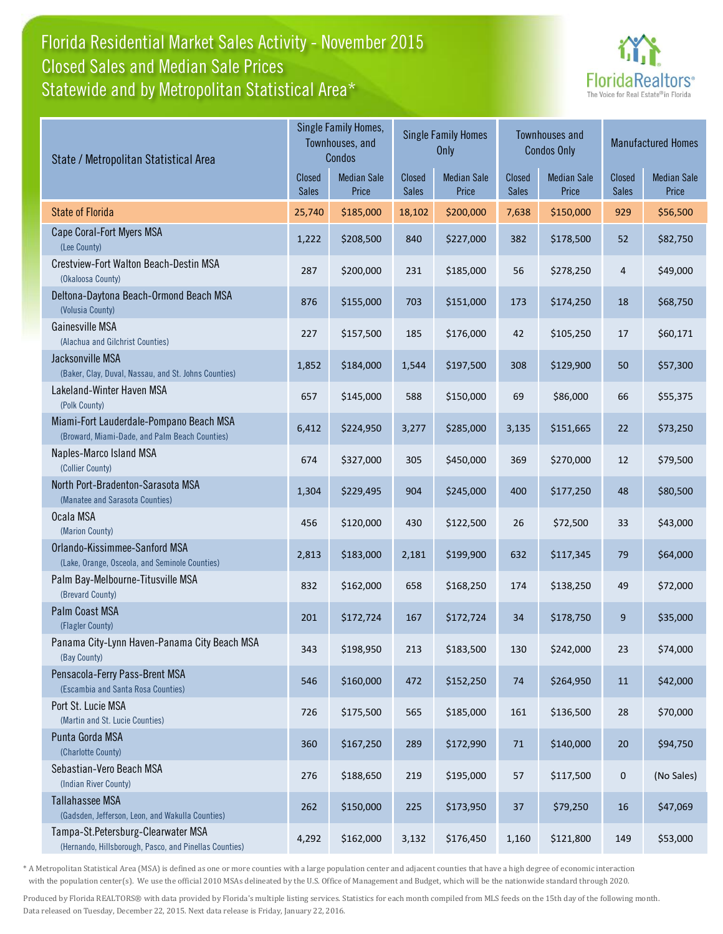## Florida Residential Market Sales Activity - November 2015 Statewide and by Metropolitan Statistical Area\* Closed Sales and Median Sale Prices



| State / Metropolitan Statistical Area                                                        |                               | Single Family Homes,<br>Townhouses, and<br>Condos |                        | <b>Single Family Homes</b><br>Only |                               | <b>Townhouses and</b><br><b>Condos Only</b> | Closed<br><b>Sales</b><br>929<br>52<br>$\overline{4}$<br>18<br>17<br>50<br>66<br>22<br>12<br>48<br>33<br>79<br>49<br>9<br>23<br>11<br>28<br>$20\,$<br>$\pmb{0}$<br>16 | <b>Manufactured Homes</b>   |
|----------------------------------------------------------------------------------------------|-------------------------------|---------------------------------------------------|------------------------|------------------------------------|-------------------------------|---------------------------------------------|-----------------------------------------------------------------------------------------------------------------------------------------------------------------------|-----------------------------|
|                                                                                              | <b>Closed</b><br><b>Sales</b> | <b>Median Sale</b><br>Price                       | Closed<br><b>Sales</b> | <b>Median Sale</b><br>Price        | <b>Closed</b><br><b>Sales</b> | <b>Median Sale</b><br>Price                 |                                                                                                                                                                       | <b>Median Sale</b><br>Price |
| <b>State of Florida</b>                                                                      | 25,740                        | \$185,000                                         | 18,102                 | \$200,000                          | 7,638                         | \$150,000                                   |                                                                                                                                                                       | \$56,500                    |
| Cape Coral-Fort Myers MSA<br>(Lee County)                                                    | 1,222                         | \$208,500                                         | 840                    | \$227,000                          | 382                           | \$178,500                                   |                                                                                                                                                                       | \$82,750                    |
| Crestview-Fort Walton Beach-Destin MSA<br>(Okaloosa County)                                  | 287                           | \$200,000                                         | 231                    | \$185,000                          | 56                            | \$278,250                                   |                                                                                                                                                                       | \$49,000                    |
| Deltona-Daytona Beach-Ormond Beach MSA<br>(Volusia County)                                   | 876                           | \$155,000                                         | 703                    | \$151,000                          | 173                           | \$174,250                                   |                                                                                                                                                                       | \$68,750                    |
| Gainesville MSA<br>(Alachua and Gilchrist Counties)                                          | 227                           | \$157,500                                         | 185                    | \$176,000                          | 42                            | \$105,250                                   |                                                                                                                                                                       | \$60,171                    |
| Jacksonville MSA<br>(Baker, Clay, Duval, Nassau, and St. Johns Counties)                     | 1,852                         | \$184,000                                         | 1,544                  | \$197,500                          | 308                           | \$129,900                                   |                                                                                                                                                                       | \$57,300                    |
| Lakeland-Winter Haven MSA<br>(Polk County)                                                   | 657                           | \$145,000                                         | 588                    | \$150,000                          | 69                            | \$86,000                                    |                                                                                                                                                                       | \$55,375                    |
| Miami-Fort Lauderdale-Pompano Beach MSA<br>(Broward, Miami-Dade, and Palm Beach Counties)    | 6,412                         | \$224,950                                         | 3,277                  | \$285,000                          | 3,135                         | \$151,665                                   |                                                                                                                                                                       | \$73,250                    |
| Naples-Marco Island MSA<br>(Collier County)                                                  | 674                           | \$327,000                                         | 305                    | \$450,000                          | 369                           | \$270,000                                   |                                                                                                                                                                       | \$79,500                    |
| North Port-Bradenton-Sarasota MSA<br>(Manatee and Sarasota Counties)                         | 1,304                         | \$229,495                                         | 904                    | \$245,000                          | 400                           | \$177,250                                   |                                                                                                                                                                       | \$80,500                    |
| Ocala MSA<br>(Marion County)                                                                 | 456                           | \$120,000                                         | 430                    | \$122,500                          | 26                            | \$72,500                                    |                                                                                                                                                                       | \$43,000                    |
| Orlando-Kissimmee-Sanford MSA<br>(Lake, Orange, Osceola, and Seminole Counties)              | 2,813                         | \$183,000                                         | 2,181                  | \$199,900                          | 632                           | \$117,345                                   |                                                                                                                                                                       | \$64,000                    |
| Palm Bay-Melbourne-Titusville MSA<br>(Brevard County)                                        | 832                           | \$162,000                                         | 658                    | \$168,250                          | 174                           | \$138,250                                   |                                                                                                                                                                       | \$72,000                    |
| Palm Coast MSA<br>(Flagler County)                                                           | 201                           | \$172,724                                         | 167                    | \$172,724                          | 34                            | \$178,750                                   |                                                                                                                                                                       | \$35,000                    |
| Panama City-Lynn Haven-Panama City Beach MSA<br>(Bay County)                                 | 343                           | \$198,950                                         | 213                    | \$183,500                          | 130                           | \$242,000                                   |                                                                                                                                                                       | \$74,000                    |
| Pensacola-Ferry Pass-Brent MSA<br>(Escambia and Santa Rosa Counties)                         | 546                           | \$160,000                                         | 472                    | \$152,250                          | 74                            | \$264,950                                   |                                                                                                                                                                       | \$42,000                    |
| Port St. Lucie MSA<br>(Martin and St. Lucie Counties)                                        | 726                           | \$175,500                                         | 565                    | \$185,000                          | 161                           | \$136,500                                   |                                                                                                                                                                       | \$70,000                    |
| Punta Gorda MSA<br>(Charlotte County)                                                        | 360                           | \$167,250                                         | 289                    | \$172,990                          | 71                            | \$140,000                                   |                                                                                                                                                                       | \$94,750                    |
| Sebastian-Vero Beach MSA<br>(Indian River County)                                            | 276                           | \$188,650                                         | 219                    | \$195,000                          | 57                            | \$117,500                                   |                                                                                                                                                                       | (No Sales)                  |
| <b>Tallahassee MSA</b><br>(Gadsden, Jefferson, Leon, and Wakulla Counties)                   | 262                           | \$150,000                                         | 225                    | \$173,950                          | $37\,$                        | \$79,250                                    |                                                                                                                                                                       | \$47,069                    |
| Tampa-St.Petersburg-Clearwater MSA<br>(Hernando, Hillsborough, Pasco, and Pinellas Counties) | 4,292                         | \$162,000                                         | 3,132                  | \$176,450                          | 1,160                         | \$121,800                                   | 149                                                                                                                                                                   | \$53,000                    |

\* A Metropolitan Statistical Area (MSA) is defined as one or more counties with a large population center and adjacent counties that have a high degree of economic interaction with the population center(s). We use the official 2010 MSAs delineated by the U.S. Office of Management and Budget, which will be the nationwide standard through 2020.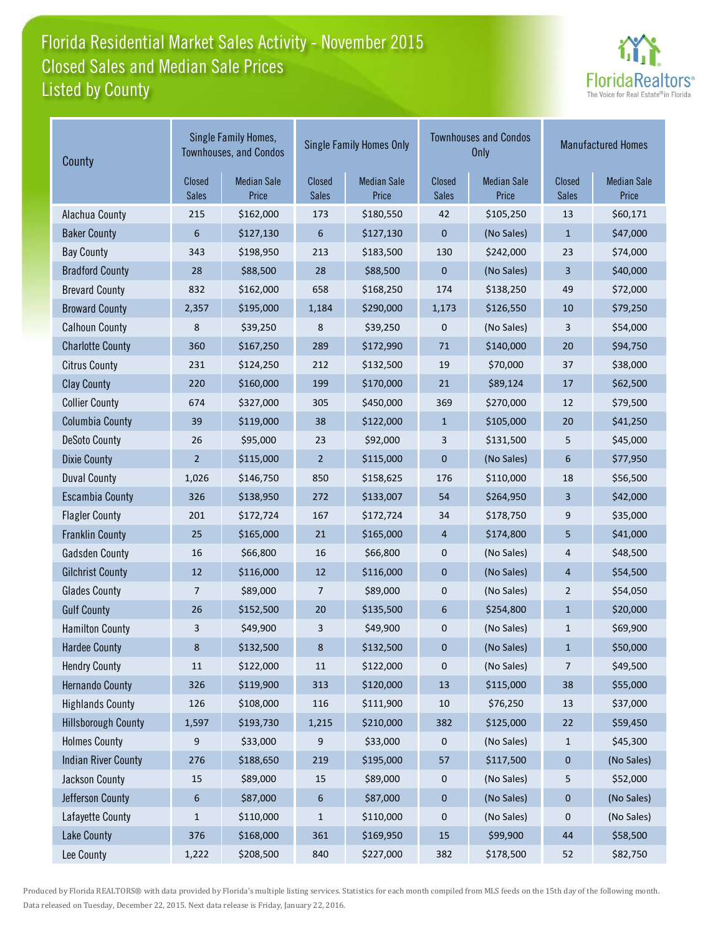# Florida Residential Market Sales Activity - November 2015 Listed by County Closed Sales and Median Sale Prices



| County                     |                               | Single Family Homes,<br><b>Townhouses, and Condos</b> |                        | <b>Single Family Homes Only</b> |                        | <b>Townhouses and Condos</b><br>Only | <b>Manufactured Homes</b> |                             |  |
|----------------------------|-------------------------------|-------------------------------------------------------|------------------------|---------------------------------|------------------------|--------------------------------------|---------------------------|-----------------------------|--|
|                            | <b>Closed</b><br><b>Sales</b> | <b>Median Sale</b><br>Price                           | Closed<br><b>Sales</b> | <b>Median Sale</b><br>Price     | Closed<br><b>Sales</b> | <b>Median Sale</b><br>Price          | Closed<br><b>Sales</b>    | <b>Median Sale</b><br>Price |  |
| Alachua County             | 215                           | \$162,000                                             | 173                    | \$180,550                       | 42                     | \$105,250                            | 13                        | \$60,171                    |  |
| <b>Baker County</b>        | 6                             | \$127,130                                             | $6\phantom{1}6$        | \$127,130                       | $\mathbf{0}$           | (No Sales)                           | $\mathbf{1}$              | \$47,000                    |  |
| <b>Bay County</b>          | 343                           | \$198,950                                             | 213                    | \$183,500                       | 130                    | \$242,000                            | 23                        | \$74,000                    |  |
| <b>Bradford County</b>     | 28                            | \$88,500                                              | 28                     | \$88,500                        | $\mathbf 0$            | (No Sales)                           | 3                         | \$40,000                    |  |
| <b>Brevard County</b>      | 832                           | \$162,000                                             | 658                    | \$168,250                       | 174                    | \$138,250                            | 49                        | \$72,000                    |  |
| <b>Broward County</b>      | 2,357                         | \$195,000                                             | 1,184                  | \$290,000                       | 1,173                  | \$126,550                            | 10                        | \$79,250                    |  |
| <b>Calhoun County</b>      | 8                             | \$39,250                                              | 8                      | \$39,250                        | 0                      | (No Sales)                           | 3                         | \$54,000                    |  |
| <b>Charlotte County</b>    | 360                           | \$167,250                                             | 289                    | \$172,990                       | 71                     | \$140,000                            | 20                        | \$94,750                    |  |
| <b>Citrus County</b>       | 231                           | \$124,250                                             | 212                    | \$132,500                       | 19                     | \$70,000                             | 37                        | \$38,000                    |  |
| <b>Clay County</b>         | 220                           | \$160,000                                             | 199                    | \$170,000                       | 21                     | \$89,124                             | 17                        | \$62,500                    |  |
| <b>Collier County</b>      | 674                           | \$327,000                                             | 305                    | \$450,000                       | 369                    | \$270,000                            | 12                        | \$79,500                    |  |
| <b>Columbia County</b>     | 39                            | \$119,000                                             | 38                     | \$122,000                       | $\mathbf{1}$           | \$105,000                            | 20                        | \$41,250                    |  |
| <b>DeSoto County</b>       | 26                            | \$95,000                                              | 23                     | \$92,000                        | 3                      | \$131,500                            | 5                         | \$45,000                    |  |
| <b>Dixie County</b>        | $\overline{2}$                | \$115,000                                             | $\overline{2}$         | \$115,000                       | $\mathbf{0}$           | (No Sales)                           | 6                         | \$77,950                    |  |
| <b>Duval County</b>        | 1,026                         | \$146,750                                             | 850                    | \$158,625                       | 176                    | \$110,000                            | 18                        | \$56,500                    |  |
| <b>Escambia County</b>     | 326                           | \$138,950                                             | 272                    | \$133,007                       | 54                     | \$264,950                            | 3                         | \$42,000                    |  |
| <b>Flagler County</b>      | 201                           | \$172,724                                             | 167                    | \$172,724                       | 34                     | \$178,750                            | 9                         | \$35,000                    |  |
| <b>Franklin County</b>     | 25                            | \$165,000                                             | 21                     | \$165,000                       | 4                      | \$174,800                            | 5                         | \$41,000                    |  |
| <b>Gadsden County</b>      | 16                            | \$66,800                                              | 16                     | \$66,800                        | 0                      | (No Sales)                           | 4                         | \$48,500                    |  |
| <b>Gilchrist County</b>    | 12                            | \$116,000                                             | 12                     | \$116,000                       | $\mathbf{0}$           | (No Sales)                           | $\overline{4}$            | \$54,500                    |  |
| <b>Glades County</b>       | 7                             | \$89,000                                              | 7                      | \$89,000                        | 0                      | (No Sales)                           | $\overline{2}$            | \$54,050                    |  |
| <b>Gulf County</b>         | 26                            | \$152,500                                             | 20                     | \$135,500                       | 6                      | \$254,800                            | $\mathbf{1}$              | \$20,000                    |  |
| <b>Hamilton County</b>     | 3                             | \$49,900                                              | 3                      | \$49,900                        | $\pmb{0}$              | (No Sales)                           | $\mathbf{1}$              | \$69,900                    |  |
| <b>Hardee County</b>       | 8                             | \$132,500                                             | 8                      | \$132,500                       | 0                      | (No Sales)                           | $\mathbf{1}$              | \$50,000                    |  |
| <b>Hendry County</b>       | $11\,$                        | \$122,000                                             | $11\,$                 | \$122,000                       | 0                      | (No Sales)                           | $\overline{7}$            | \$49,500                    |  |
| <b>Hernando County</b>     | 326                           | \$119,900                                             | 313                    | \$120,000                       | 13                     | \$115,000                            | $38\,$                    | \$55,000                    |  |
| <b>Highlands County</b>    | 126                           | \$108,000                                             | 116                    | \$111,900                       | 10                     | \$76,250                             | 13                        | \$37,000                    |  |
| <b>Hillsborough County</b> | 1,597                         | \$193,730                                             | 1,215                  | \$210,000                       | 382                    | \$125,000                            | $22$                      | \$59,450                    |  |
| <b>Holmes County</b>       | 9                             | \$33,000                                              | 9                      | \$33,000                        | 0                      | (No Sales)                           | $\mathbf{1}$              | \$45,300                    |  |
| <b>Indian River County</b> | 276                           | \$188,650                                             | 219                    | \$195,000                       | 57                     | \$117,500                            | 0                         | (No Sales)                  |  |
| Jackson County             | 15                            | \$89,000                                              | 15                     | \$89,000                        | 0                      | (No Sales)                           | 5                         | \$52,000                    |  |
| Jefferson County           | 6                             | \$87,000                                              | 6                      | \$87,000                        | $\pmb{0}$              | (No Sales)                           | $\pmb{0}$                 | (No Sales)                  |  |
| Lafayette County           | 1                             | \$110,000                                             | $\mathbf{1}$           | \$110,000                       | 0                      | (No Sales)                           | 0                         | (No Sales)                  |  |
| <b>Lake County</b>         | 376                           | \$168,000                                             | 361                    | \$169,950                       | 15                     | \$99,900                             | 44                        | \$58,500                    |  |
| Lee County                 | 1,222                         | \$208,500                                             | 840                    | \$227,000                       | 382                    | \$178,500                            | 52                        | \$82,750                    |  |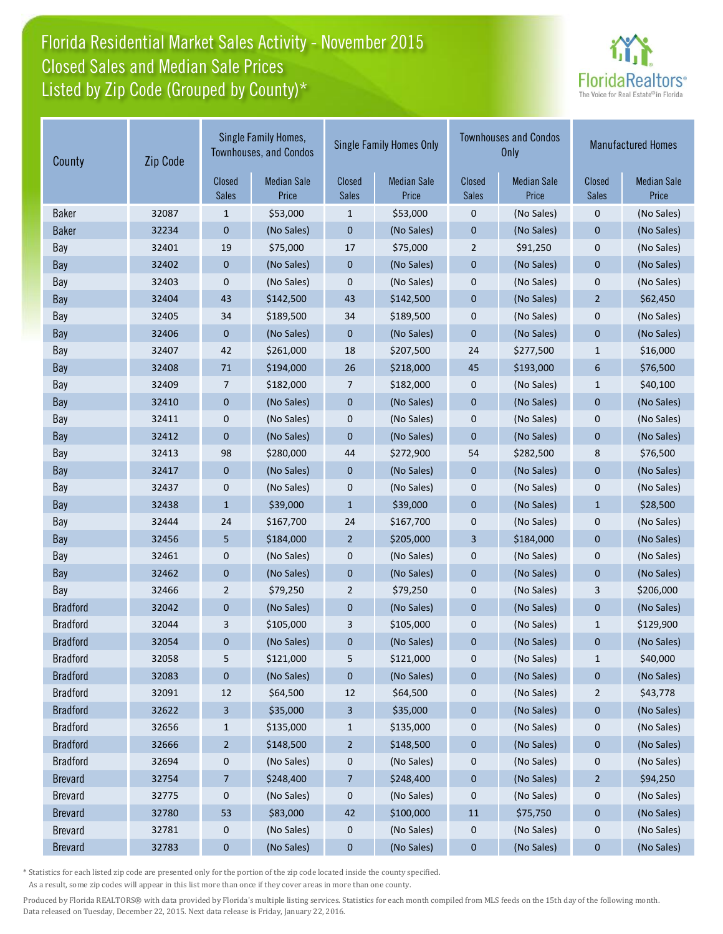## Florida Residential Market Sales Activity - November 2015 Listed by Zip Code (Grouped by County)\* Closed Sales and Median Sale Prices



| County          | Zip Code | Single Family Homes,<br><b>Townhouses, and Condos</b> |                             | <b>Single Family Homes Only</b> |                             |                        | <b>Townhouses and Condos</b><br><b>Only</b> | <b>Manufactured Homes</b> |                             |
|-----------------|----------|-------------------------------------------------------|-----------------------------|---------------------------------|-----------------------------|------------------------|---------------------------------------------|---------------------------|-----------------------------|
|                 |          | Closed<br><b>Sales</b>                                | <b>Median Sale</b><br>Price | Closed<br><b>Sales</b>          | <b>Median Sale</b><br>Price | Closed<br><b>Sales</b> | <b>Median Sale</b><br>Price                 | Closed<br><b>Sales</b>    | <b>Median Sale</b><br>Price |
| <b>Baker</b>    | 32087    | 1                                                     | \$53,000                    | $\mathbf{1}$                    | \$53,000                    | 0                      | (No Sales)                                  | $\mathbf 0$               | (No Sales)                  |
| <b>Baker</b>    | 32234    | 0                                                     | (No Sales)                  | $\pmb{0}$                       | (No Sales)                  | $\pmb{0}$              | (No Sales)                                  | $\mathbf 0$               | (No Sales)                  |
| Bay             | 32401    | 19                                                    | \$75,000                    | 17                              | \$75,000                    | $\overline{2}$         | \$91,250                                    | $\mathbf 0$               | (No Sales)                  |
| Bay             | 32402    | 0                                                     | (No Sales)                  | $\boldsymbol{0}$                | (No Sales)                  | $\pmb{0}$              | (No Sales)                                  | $\pmb{0}$                 | (No Sales)                  |
| Bay             | 32403    | 0                                                     | (No Sales)                  | $\mathbf 0$                     | (No Sales)                  | $\mathbf 0$            | (No Sales)                                  | $\mathbf 0$               | (No Sales)                  |
| Bay             | 32404    | 43                                                    | \$142,500                   | 43                              | \$142,500                   | $\pmb{0}$              | (No Sales)                                  | $\overline{2}$            | \$62,450                    |
| Bay             | 32405    | 34                                                    | \$189,500                   | 34                              | \$189,500                   | $\pmb{0}$              | (No Sales)                                  | $\pmb{0}$                 | (No Sales)                  |
| Bay             | 32406    | 0                                                     | (No Sales)                  | $\mathbf 0$                     | (No Sales)                  | $\mathbf{0}$           | (No Sales)                                  | $\mathbf{0}$              | (No Sales)                  |
| Bay             | 32407    | 42                                                    | \$261,000                   | 18                              | \$207,500                   | 24                     | \$277,500                                   | $1\,$                     | \$16,000                    |
| Bay             | 32408    | 71                                                    | \$194,000                   | 26                              | \$218,000                   | 45                     | \$193,000                                   | 6                         | \$76,500                    |
| Bay             | 32409    | 7                                                     | \$182,000                   | 7                               | \$182,000                   | $\mathbf 0$            | (No Sales)                                  | $\mathbf{1}$              | \$40,100                    |
| Bay             | 32410    | $\mathbf 0$                                           | (No Sales)                  | $\mathbf 0$                     | (No Sales)                  | $\mathbf 0$            | (No Sales)                                  | $\mathbf{0}$              | (No Sales)                  |
| Bay             | 32411    | 0                                                     | (No Sales)                  | 0                               | (No Sales)                  | $\pmb{0}$              | (No Sales)                                  | 0                         | (No Sales)                  |
| Bay             | 32412    | 0                                                     | (No Sales)                  | $\pmb{0}$                       | (No Sales)                  | $\mathbf 0$            | (No Sales)                                  | $\mathbf 0$               | (No Sales)                  |
| Bay             | 32413    | 98                                                    | \$280,000                   | 44                              | \$272,900                   | 54                     | \$282,500                                   | 8                         | \$76,500                    |
| Bay             | 32417    | 0                                                     | (No Sales)                  | $\boldsymbol{0}$                | (No Sales)                  | $\boldsymbol{0}$       | (No Sales)                                  | $\pmb{0}$                 | (No Sales)                  |
| Bay             | 32437    | 0                                                     | (No Sales)                  | $\pmb{0}$                       | (No Sales)                  | $\boldsymbol{0}$       | (No Sales)                                  | 0                         | (No Sales)                  |
| Bay             | 32438    | $\mathbf{1}$                                          | \$39,000                    | $\mathbf{1}$                    | \$39,000                    | $\mathbf{0}$           | (No Sales)                                  | $\mathbf{1}$              | \$28,500                    |
| Bay             | 32444    | 24                                                    | \$167,700                   | 24                              | \$167,700                   | $\mathbf 0$            | (No Sales)                                  | $\mathbf 0$               | (No Sales)                  |
| Bay             | 32456    | 5                                                     | \$184,000                   | $\overline{2}$                  | \$205,000                   | $\overline{3}$         | \$184,000                                   | $\mathbf{0}$              | (No Sales)                  |
| Bay             | 32461    | 0                                                     | (No Sales)                  | 0                               | (No Sales)                  | $\pmb{0}$              | (No Sales)                                  | $\pmb{0}$                 | (No Sales)                  |
| Bay             | 32462    | $\pmb{0}$                                             | (No Sales)                  | $\pmb{0}$                       | (No Sales)                  | $\pmb{0}$              | (No Sales)                                  | $\pmb{0}$                 | (No Sales)                  |
| Bay             | 32466    | $\overline{2}$                                        | \$79,250                    | $\overline{2}$                  | \$79,250                    | $\mathbf 0$            | (No Sales)                                  | 3                         | \$206,000                   |
| <b>Bradford</b> | 32042    | $\mathbf 0$                                           | (No Sales)                  | $\mathbf 0$                     | (No Sales)                  | $\mathbf{0}$           | (No Sales)                                  | $\mathbf{0}$              | (No Sales)                  |
| <b>Bradford</b> | 32044    | 3                                                     | \$105,000                   | 3                               | \$105,000                   | $\boldsymbol{0}$       | (No Sales)                                  | $\mathbf{1}$              | \$129,900                   |
| <b>Bradford</b> | 32054    | 0                                                     | (No Sales)                  | 0                               | (No Sales)                  | $\boldsymbol{0}$       | (No Sales)                                  | $\boldsymbol{0}$          | (No Sales)                  |
| <b>Bradford</b> | 32058    | 5                                                     | \$121,000                   | 5                               | \$121,000                   | 0                      | (No Sales)                                  | $\mathbf{1}$              | \$40,000                    |
| <b>Bradford</b> | 32083    | 0                                                     | (No Sales)                  | $\bf{0}$                        | (No Sales)                  | $\bf{0}$               | (No Sales)                                  | $\bf{0}$                  | (No Sales)                  |
| <b>Bradford</b> | 32091    | 12                                                    | \$64,500                    | 12                              | \$64,500                    | $\boldsymbol{0}$       | (No Sales)                                  | $\overline{c}$            | \$43,778                    |
| <b>Bradford</b> | 32622    | 3                                                     | \$35,000                    | 3                               | \$35,000                    | $\boldsymbol{0}$       | (No Sales)                                  | $\boldsymbol{0}$          | (No Sales)                  |
| <b>Bradford</b> | 32656    | $\mathbf{1}$                                          | \$135,000                   | $\mathbf{1}$                    | \$135,000                   | $\boldsymbol{0}$       | (No Sales)                                  | 0                         | (No Sales)                  |
| <b>Bradford</b> | 32666    | $\overline{a}$                                        | \$148,500                   | $\overline{a}$                  | \$148,500                   | $\boldsymbol{0}$       | (No Sales)                                  | $\bf{0}$                  | (No Sales)                  |
| <b>Bradford</b> | 32694    | 0                                                     | (No Sales)                  | 0                               | (No Sales)                  | 0                      | (No Sales)                                  | 0                         | (No Sales)                  |
| <b>Brevard</b>  | 32754    | 7                                                     | \$248,400                   | 7                               | \$248,400                   | $\pmb{0}$              | (No Sales)                                  | $\overline{a}$            | \$94,250                    |
| <b>Brevard</b>  | 32775    | 0                                                     | (No Sales)                  | $\boldsymbol{0}$                | (No Sales)                  | $\boldsymbol{0}$       | (No Sales)                                  | 0                         | (No Sales)                  |
| <b>Brevard</b>  | 32780    | 53                                                    | \$83,000                    | 42                              | \$100,000                   | 11                     | \$75,750                                    | $\bf{0}$                  | (No Sales)                  |
| <b>Brevard</b>  | 32781    | 0                                                     | (No Sales)                  | 0                               | (No Sales)                  | 0                      | (No Sales)                                  | 0                         | (No Sales)                  |
| <b>Brevard</b>  | 32783    | 0                                                     | (No Sales)                  | $\pmb{0}$                       | (No Sales)                  | $\pmb{0}$              | (No Sales)                                  | $\bf{0}$                  | (No Sales)                  |

\* Statistics for each listed zip code are presented only for the portion of the zip code located inside the county specified.

As a result, some zip codes will appear in this list more than once if they cover areas in more than one county.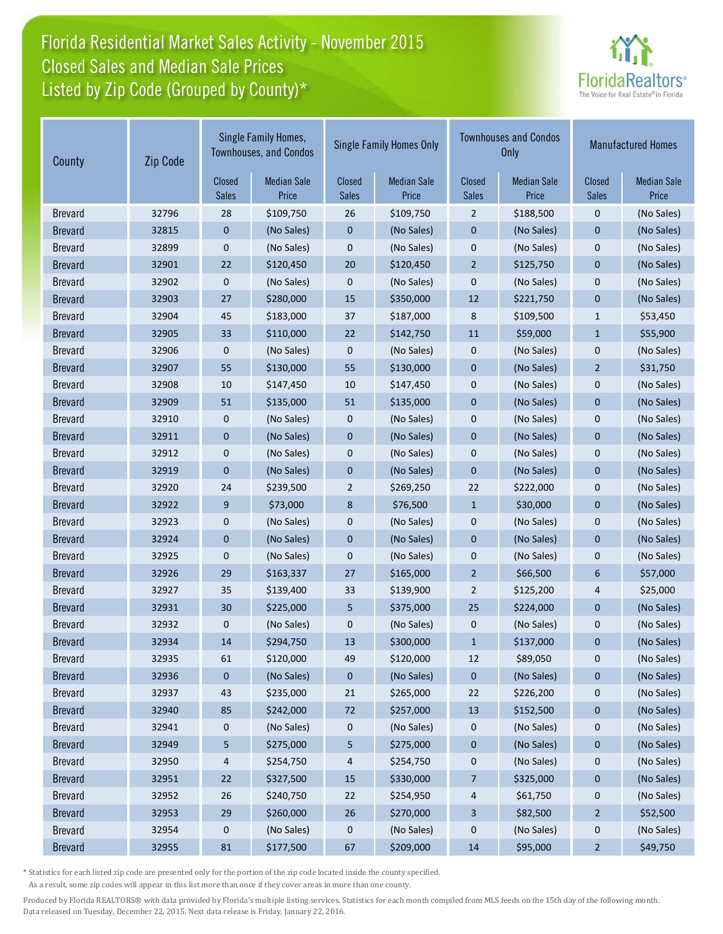# Florida Residential Market Sales Activity - November 2015 Listed by Zip Code (Grouped by County)\* Closed Sales and Median Sale Prices



| County         | Zip Code | Single Family Homes,<br><b>Townhouses, and Condos</b> |                             | <b>Single Family Homes Only</b> |                             |                        | <b>Townhouses and Condos</b><br><b>Only</b> | <b>Manufactured Homes</b> |                             |
|----------------|----------|-------------------------------------------------------|-----------------------------|---------------------------------|-----------------------------|------------------------|---------------------------------------------|---------------------------|-----------------------------|
|                |          | Closed<br>Sales                                       | <b>Median Sale</b><br>Price | Closed<br><b>Sales</b>          | <b>Median Sale</b><br>Price | Closed<br><b>Sales</b> | <b>Median Sale</b><br>Price                 | Closed<br><b>Sales</b>    | <b>Median Sale</b><br>Price |
| <b>Brevard</b> | 32796    | 28                                                    | \$109,750                   | 26                              | \$109,750                   | $\overline{2}$         | \$188,500                                   | $\mathbf 0$               | (No Sales)                  |
| <b>Brevard</b> | 32815    | 0                                                     | (No Sales)                  | $\pmb{0}$                       | (No Sales)                  | $\pmb{0}$              | (No Sales)                                  | $\pmb{0}$                 | (No Sales)                  |
| <b>Brevard</b> | 32899    | 0                                                     | (No Sales)                  | $\pmb{0}$                       | (No Sales)                  | $\mathbf 0$            | (No Sales)                                  | $\mathbf 0$               | (No Sales)                  |
| <b>Brevard</b> | 32901    | 22                                                    | \$120,450                   | 20                              | \$120,450                   | $\overline{2}$         | \$125,750                                   | $\mathbf{0}$              | (No Sales)                  |
| <b>Brevard</b> | 32902    | 0                                                     | (No Sales)                  | $\pmb{0}$                       | (No Sales)                  | $\mathbf{0}$           | (No Sales)                                  | $\mathbf 0$               | (No Sales)                  |
| <b>Brevard</b> | 32903    | 27                                                    | \$280,000                   | 15                              | \$350,000                   | 12                     | \$221,750                                   | $\mathbf 0$               | (No Sales)                  |
| <b>Brevard</b> | 32904    | 45                                                    | \$183,000                   | 37                              | \$187,000                   | 8                      | \$109,500                                   | $\mathbf{1}$              | \$53,450                    |
| <b>Brevard</b> | 32905    | 33                                                    | \$110,000                   | 22                              | \$142,750                   | 11                     | \$59,000                                    | $1\,$                     | \$55,900                    |
| <b>Brevard</b> | 32906    | 0                                                     | (No Sales)                  | 0                               | (No Sales)                  | 0                      | (No Sales)                                  | $\mathbf 0$               | (No Sales)                  |
| <b>Brevard</b> | 32907    | 55                                                    | \$130,000                   | 55                              | \$130,000                   | $\mathbf{0}$           | (No Sales)                                  | $\overline{2}$            | \$31,750                    |
| <b>Brevard</b> | 32908    | 10                                                    | \$147,450                   | 10                              | \$147,450                   | $\mathbf{0}$           | (No Sales)                                  | $\mathbf 0$               | (No Sales)                  |
| <b>Brevard</b> | 32909    | 51                                                    | \$135,000                   | 51                              | \$135,000                   | $\mathbf{0}$           | (No Sales)                                  | $\mathbf{0}$              | (No Sales)                  |
| <b>Brevard</b> | 32910    | 0                                                     | (No Sales)                  | 0                               | (No Sales)                  | $\mathbf 0$            | (No Sales)                                  | $\pmb{0}$                 | (No Sales)                  |
| <b>Brevard</b> | 32911    | 0                                                     | (No Sales)                  | $\pmb{0}$                       | (No Sales)                  | $\pmb{0}$              | (No Sales)                                  | $\pmb{0}$                 | (No Sales)                  |
| <b>Brevard</b> | 32912    | 0                                                     | (No Sales)                  | $\pmb{0}$                       | (No Sales)                  | $\mathbf 0$            | (No Sales)                                  | $\mathbf 0$               | (No Sales)                  |
| <b>Brevard</b> | 32919    | 0                                                     | (No Sales)                  | $\mathbf 0$                     | (No Sales)                  | $\mathbf 0$            | (No Sales)                                  | $\mathbf{0}$              | (No Sales)                  |
| <b>Brevard</b> | 32920    | 24                                                    | \$239,500                   | $\overline{2}$                  | \$269,250                   | 22                     | \$222,000                                   | $\mathbf 0$               | (No Sales)                  |
| <b>Brevard</b> | 32922    | 9                                                     | \$73,000                    | 8                               | \$76,500                    | $\mathbf{1}$           | \$30,000                                    | $\mathbf{0}$              | (No Sales)                  |
| <b>Brevard</b> | 32923    | 0                                                     | (No Sales)                  | $\pmb{0}$                       | (No Sales)                  | $\mathbf 0$            | (No Sales)                                  | $\mathbf 0$               | (No Sales)                  |
| <b>Brevard</b> | 32924    | $\mathbf 0$                                           | (No Sales)                  | $\mathbf 0$                     | (No Sales)                  | $\mathbf{0}$           | (No Sales)                                  | $\mathbf{0}$              | (No Sales)                  |
| <b>Brevard</b> | 32925    | 0                                                     | (No Sales)                  | $\pmb{0}$                       | (No Sales)                  | $\pmb{0}$              | (No Sales)                                  | $\mathbf 0$               | (No Sales)                  |
| <b>Brevard</b> | 32926    | 29                                                    | \$163,337                   | 27                              | \$165,000                   | $\overline{2}$         | \$66,500                                    | $6\phantom{1}6$           | \$57,000                    |
| <b>Brevard</b> | 32927    | 35                                                    | \$139,400                   | 33                              | \$139,900                   | $\overline{2}$         | \$125,200                                   | 4                         | \$25,000                    |
| <b>Brevard</b> | 32931    | 30                                                    | \$225,000                   | 5                               | \$375,000                   | 25                     | \$224,000                                   | $\mathbf{0}$              | (No Sales)                  |
| <b>Brevard</b> | 32932    | 0                                                     | (No Sales)                  | 0                               | (No Sales)                  | 0                      | (No Sales)                                  | $\mathbf 0$               | (No Sales)                  |
| <b>Brevard</b> | 32934    | 14                                                    | \$294,750                   | 13                              | \$300,000                   | $\mathbf{1}$           | \$137,000                                   | $\mathbf 0$               | (No Sales)                  |
| <b>Brevard</b> | 32935    | 61                                                    | \$120,000                   | 49                              | \$120,000                   | 12                     | \$89,050                                    | 0                         | (No Sales)                  |
| <b>Brevard</b> | 32936    | 0                                                     | (No Sales)                  | $\boldsymbol{0}$                | (No Sales)                  | $\mathbf{0}$           | (No Sales)                                  | $\boldsymbol{0}$          | (No Sales)                  |
| <b>Brevard</b> | 32937    | 43                                                    | \$235,000                   | 21                              | \$265,000                   | 22                     | \$226,200                                   | 0                         | (No Sales)                  |
| <b>Brevard</b> | 32940    | 85                                                    | \$242,000                   | 72                              | \$257,000                   | 13                     | \$152,500                                   | $\bf{0}$                  | (No Sales)                  |
| <b>Brevard</b> | 32941    | 0                                                     | (No Sales)                  | $\boldsymbol{0}$                | (No Sales)                  | 0                      | (No Sales)                                  | 0                         | (No Sales)                  |
| <b>Brevard</b> | 32949    | 5                                                     | \$275,000                   | 5                               | \$275,000                   | $\boldsymbol{0}$       | (No Sales)                                  | $\bf{0}$                  | (No Sales)                  |
| <b>Brevard</b> | 32950    | 4                                                     | \$254,750                   | 4                               | \$254,750                   | $\boldsymbol{0}$       | (No Sales)                                  | 0                         | (No Sales)                  |
| <b>Brevard</b> | 32951    | 22                                                    | \$327,500                   | 15                              | \$330,000                   | $\overline{7}$         | \$325,000                                   | $\pmb{0}$                 | (No Sales)                  |
| <b>Brevard</b> | 32952    | 26                                                    | \$240,750                   | 22                              | \$254,950                   | 4                      | \$61,750                                    | $\boldsymbol{0}$          | (No Sales)                  |
| <b>Brevard</b> | 32953    | 29                                                    | \$260,000                   | 26                              | \$270,000                   | 3                      | \$82,500                                    | $\overline{2}$            | \$52,500                    |
| <b>Brevard</b> | 32954    | 0                                                     | (No Sales)                  | 0                               | (No Sales)                  | 0                      | (No Sales)                                  | $\boldsymbol{0}$          | (No Sales)                  |
| <b>Brevard</b> | 32955    | 81                                                    | \$177,500                   | 67                              | \$209,000                   | 14                     | \$95,000                                    | $\overline{2}$            | \$49,750                    |

\* Statistics for each listed zip code are presented only for the portion of the zip code located inside the county specified.

As a result, some zip codes will appear in this list more than once if they cover areas in more than one county.